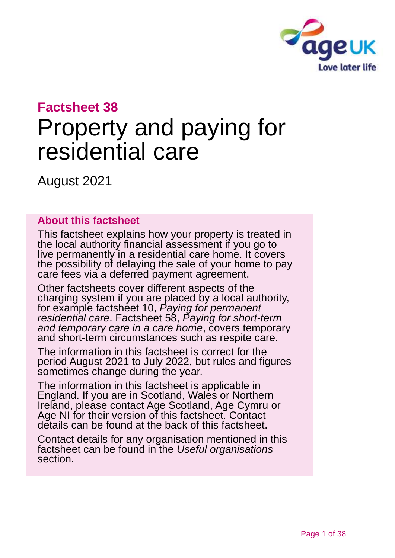

# **Factsheet 38**

# Property and paying for residential care

August 2021

#### **About this factsheet**

This factsheet explains how your property is treated in the local authority financial assessment if you go to live permanently in a residential care home. It covers the possibility of delaying the sale of your home to pay care fees via a deferred payment agreement.

Other factsheets cover different aspects of the charging system if you are placed by a local authority, for example factsheet 10, *[Paying for permanent](https://www.ageuk.org.uk/globalassets/age-uk/documents/factsheets/fs10_paying_for_permanent_residential_care_fcs.pdf)  [residential care](https://www.ageuk.org.uk/globalassets/age-uk/documents/factsheets/fs10_paying_for_permanent_residential_care_fcs.pdf)*. Factsheet 58, *[Paying for short-term](https://www.ageuk.org.uk/globalassets/age-uk/documents/factsheets/fs58_paying_for_short-term_and_temporary_care_in_a_care_home_fcs.pdf)  [and temporary care in a care home](https://www.ageuk.org.uk/globalassets/age-uk/documents/factsheets/fs58_paying_for_short-term_and_temporary_care_in_a_care_home_fcs.pdf)*, covers temporary and short-term circumstances such as respite care.

The information in this factsheet is correct for the period August 2021 to July 2022, but rules and figures sometimes change during the year.

The information in this factsheet is applicable in England. If you are in Scotland, Wales or Northern Ireland, please contact [Age Scotland,](#page-35-0) [Age Cymru](#page-35-1) or [Age NI](#page-35-2) for their version of this factsheet. Contact details can be found at the back of this factsheet.

Contact details for any organisation mentioned in this factsheet can be found in the *[Useful organisations](#page-34-0)* section.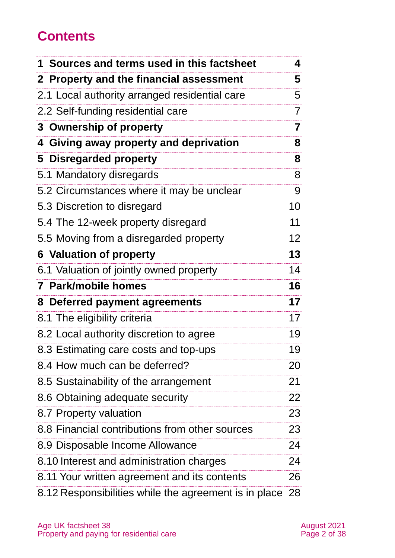# **Contents**

| 1 Sources and terms used in this factsheet     | 4               |
|------------------------------------------------|-----------------|
| 2 Property and the financial assessment        | 5               |
| 2.1 Local authority arranged residential care  | 5               |
| 2.2 Self-funding residential care              | $\overline{7}$  |
| 3 Ownership of property                        | 7               |
| 4 Giving away property and deprivation         | 8               |
| 5 Disregarded property                         | 8               |
| 5.1 Mandatory disregards                       | 8               |
| 5.2 Circumstances where it may be unclear      | 9               |
| 5.3 Discretion to disregard                    | 10              |
| 5.4 The 12-week property disregard             | 11              |
| 5.5 Moving from a disregarded property         | 12 <sub>2</sub> |
| <b>6 Valuation of property</b>                 | 13              |
| 6.1 Valuation of jointly owned property        | 14              |
| 7 Park/mobile homes                            | 16              |
|                                                |                 |
| 8 Deferred payment agreements                  | 17              |
| 8.1 The eligibility criteria                   |                 |
| 8.2 Local authority discretion to agree        | 19              |
| 8.3 Estimating care costs and top-ups          | 19              |
| 8.4 How much can be deferred?                  | 20              |
| 8.5 Sustainability of the arrangement          | 21              |
| 8.6 Obtaining adequate security                | 22              |
| 8.7 Property valuation                         | 17<br>23        |
| 8.8 Financial contributions from other sources | 23              |
| 8.9 Disposable Income Allowance                | 24              |
| 8.10 Interest and administration charges       | 24              |
| 8.11 Your written agreement and its contents   | 26              |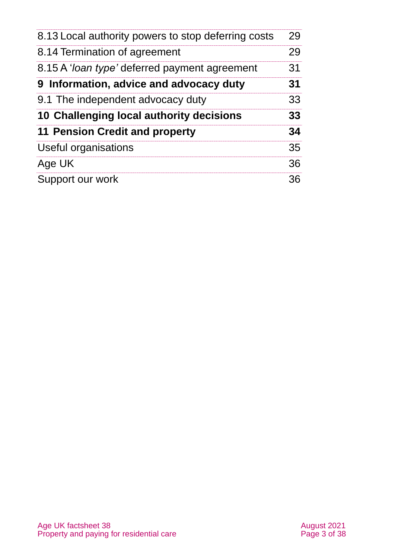| 8.13 Local authority powers to stop deferring costs   | 29 |
|-------------------------------------------------------|----|
| 8.14 Termination of agreement                         | 29 |
| 8.15 A ' <i>loan type'</i> deferred payment agreement | 31 |
| 9 Information, advice and advocacy duty               | 31 |
| 9.1 The independent advocacy duty                     | 33 |
| 10 Challenging local authority decisions              | 33 |
| <b>11 Pension Credit and property</b>                 | 34 |
| Useful organisations                                  | 35 |
| Age UK                                                | 36 |
| Support our work                                      | 36 |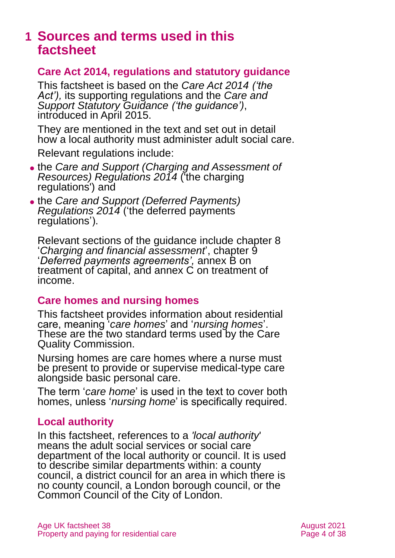# <span id="page-3-0"></span>**1 Sources and terms used in this factsheet**

#### **Care Act 2014, regulations and statutory guidance**

This factsheet is based on the *[Care Act 2014](https://www.legislation.gov.uk/ukpga/2014/23/contents) ('the Act'),* its supporting regulations and the *[Care and](https://www.gov.uk/government/publications/care-act-statutory-guidance/care-and-support-statutory-guidance)  [Support Statutory Guidance](https://www.gov.uk/government/publications/care-act-statutory-guidance/care-and-support-statutory-guidance) ('the guidance')*, introduced in April 2015.

They are mentioned in the text and set out in detail how a local authority must administer adult social care.

Relevant regulations include:

- ⚫ the *[Care and Support \(Charging and Assessment of](http://www.legislation.gov.uk/uksi/2014/2672/contents/made)  [Resources\) Regulations 2014](http://www.legislation.gov.uk/uksi/2014/2672/contents/made)* ('the charging regulations') and
- ⚫ the *[Care and Support \(Deferred Payments\)](http://www.legislation.gov.uk/uksi/2014/2671/contents/made)  [Regulations 2014](http://www.legislation.gov.uk/uksi/2014/2671/contents/made)* ('the deferred payments regulations').

Relevant sections of the guidance include chapter 8 '*Charging and financial assessment*', chapter 9 '*Deferred payments agreements',* annex B on treatment of capital, and annex C on treatment of income.

#### **Care homes and nursing homes**

This factsheet provides information about residential care, meaning '*care homes*' and '*nursing homes*'. These are the two standard terms used by the Care Quality Commission.

Nursing homes are care homes where a nurse must be present to provide or supervise medical-type care alongside basic personal care.

The term '*care home*' is used in the text to cover both homes, unless '*nursing home*' is specifically required.

#### **Local authority**

In this factsheet, references to a *'local authority*' means the adult social services or social care department of the local authority or council. It is used to describe similar departments within: a county council, a district council for an area in which there is no county council, a London borough council, or the Common Council of the City of London.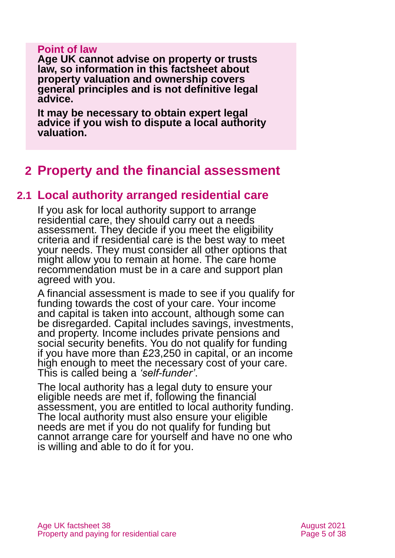#### **Point of law**

**Age UK cannot advise on property or trusts law, so information in this factsheet about property valuation and ownership covers general principles and is not definitive legal advice.** 

**It may be necessary to obtain expert legal advice if you wish to dispute a local authority valuation.**

# <span id="page-4-0"></span>**2 Property and the financial assessment**

#### **2.1 Local authority arranged residential care**

If you ask for local authority support to arrange residential care, they should carry out a needs assessment. They decide if you meet the eligibility criteria and if residential care is the best way to meet your needs. They must consider all other options that might allow you to remain at home. The care home recommendation must be in a care and support plan agreed with you.

A financial assessment is made to see if you qualify for funding towards the cost of your care. Your income and capital is taken into account, although some can be disregarded. Capital includes savings, investments, and property. Income includes private pensions and social security benefits. You do not qualify for funding if you have more than £23,250 in capital, or an income high enough to meet the necessary cost of your care. This is called being a *'self-funder'*.

The local authority has a legal duty to ensure your eligible needs are met if, following the financial assessment, you are entitled to local authority funding. The local authority must also ensure your eligible needs are met if you do not qualify for funding but cannot arrange care for yourself and have no one who is willing and able to do it for you.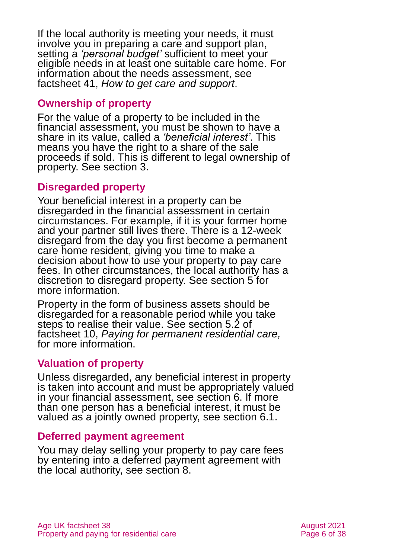If the local authority is meeting your needs, it must involve you in preparing a care and support plan, setting a *'personal budget'* sufficient to meet your eligible needs in at least one suitable care home. For information about the needs assessment, see factsheet 41, *[How to get care and support](https://www.ageuk.org.uk/globalassets/age-uk/documents/factsheets/fs41_how_to_get_care_and_support_fcs.pdf)*.

#### **Ownership of property**

For the value of a property to be included in the financial assessment, you must be shown to have a share in its value, called a *'beneficial interest'*. This means you have the right to a share of the sale proceeds if sold. This is different to legal ownership of property. See [section 3.](#page-6-0)

#### **Disregarded property**

Your beneficial interest in a property can be disregarded in the financial assessment in certain circumstances. For example, if it is your former home and your partner still lives there. There is a 12-week disregard from the day you first become a permanent care home resident, giving you time to make a decision about how to use your property to pay care fees. In other circumstances, the local authority has a discretion to disregard property. See [section 5](#page-7-1) for more information.

Property in the form of business assets should be disregarded for a reasonable period while you take steps to realise their value. See section 5.2 of factsheet 10, *[Paying for permanent residential care,](https://www.ageuk.org.uk/globalassets/age-uk/documents/factsheets/fs10_paying_for_permanent_residential_care_fcs.pdf)* for more information.

#### **Valuation of property**

Unless disregarded, any beneficial interest in property is taken into account and must be appropriately valued in your financial assessment, see [section 6.](#page-12-0) If more than one person has a beneficial interest, it must be valued as a jointly owned property, see [section 6.1.](#page-13-0)

#### **Deferred payment agreement**

You may delay selling your property to pay care fees by entering into a deferred payment agreement with the local authority, [see section 8.](#page-16-0)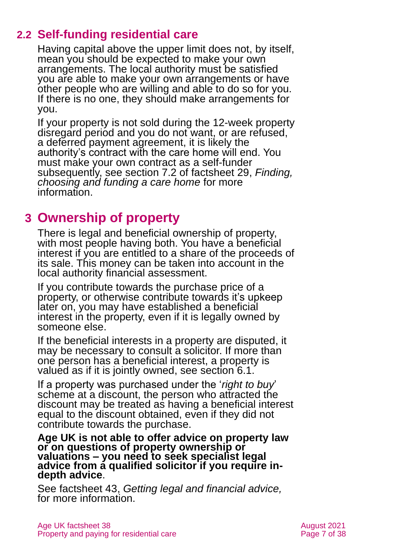# **2.2 Self-funding residential care**

Having capital above the upper limit does not, by itself, mean you should be expected to make your own arrangements. The local authority must be satisfied you are able to make your own arrangements or have other people who are willing and able to do so for you. If there is no one, they should make arrangements for you.

If your property is not sold during the 12-week property disregard period and you do not want, or are refused, a deferred payment agreement, it is likely the authority's contract with the care home will end. You must make your own contract as a self-funder subsequently, see section 7.2 of factsheet 29, *[Finding,](https://www.ageuk.org.uk/globalassets/age-uk/documents/factsheets/fs29_finding_choosing_and_funding_a_care_home_fcs.pdf)  [choosing and funding a care home](https://www.ageuk.org.uk/globalassets/age-uk/documents/factsheets/fs29_finding_choosing_and_funding_a_care_home_fcs.pdf)* for more information.

# <span id="page-6-0"></span>**3 Ownership of property**

There is legal and beneficial ownership of property, with most people having both. You have a beneficial interest if you are entitled to a share of the proceeds of its sale. This money can be taken into account in the local authority financial assessment.

If you contribute towards the purchase price of a property, or otherwise contribute towards it's upkeep later on, you may have established a beneficial interest in the property, even if it is legally owned by someone else.

If the beneficial interests in a property are disputed, it may be necessary to consult a solicitor. If more than one person has a beneficial interest, a property is valued as if it is jointly owned, see [section 6.1.](#page-13-0)

If a property was purchased under the '*right to buy*' scheme at a discount, the person who attracted the discount may be treated as having a beneficial interest equal to the discount obtained, even if they did not contribute towards the purchase.

**Age UK is not able to offer advice on property law or on questions of property ownership or valuations – you need to seek specialist legal advice from a qualified solicitor if you require indepth advice**.

See factsheet 43, *[Getting legal and financial advice,](https://www.ageuk.org.uk/globalassets/age-uk/documents/factsheets/fs43-getting-legal-and-financial-advice.pdf)* for more information.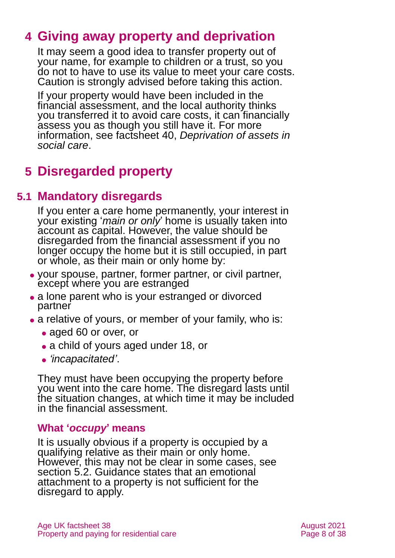# <span id="page-7-0"></span>**4 Giving away property and deprivation**

It may seem a good idea to transfer property out of your name, for example to children or a trust, so you do not to have to use its value to meet your care costs. Caution is strongly advised before taking this action.

If your property would have been included in the financial assessment, and the local authority thinks you transferred it to avoid care costs, it can financially assess you as though you still have it. For more information, see factsheet 40, *[Deprivation of assets in](https://www.ageuk.org.uk/globalassets/age-uk/documents/factsheets/fs40_deprivation_of_assets_in_social_care_fcs.pdf?dtrk=true) [social care](https://www.ageuk.org.uk/globalassets/age-uk/documents/factsheets/fs40_deprivation_of_assets_in_social_care_fcs.pdf?dtrk=true)*.

# <span id="page-7-1"></span>**5 Disregarded property**

# **5.1 Mandatory disregards**

If you enter a care home permanently, your interest in your existing '*main or only*' home is usually taken into account as capital. However, the value should be disregarded from the financial assessment if you no longer occupy the home but it is still occupied, in part or whole, as their main or only home by:

- ⚫ your spouse, partner, former partner, or civil partner, except where you are estranged
- a lone parent who is your estranged or divorced partner
- a relative of yours, or member of your family, who is:
	- aged 60 or over, or
	- a child of yours aged under 18, or
	- ⚫ *'incapacitated'*.

They must have been occupying the property before you went into the care home. The disregard lasts until the situation changes, at which time it may be included in the financial assessment.

#### **What '***occupy***' means**

It is usually obvious if a property is occupied by a qualifying relative as their main or only home. However, this may not be clear in some cases, see [section 5.2.](#page-8-0) Guidance states that an emotional attachment to a property is not sufficient for the disregard to apply.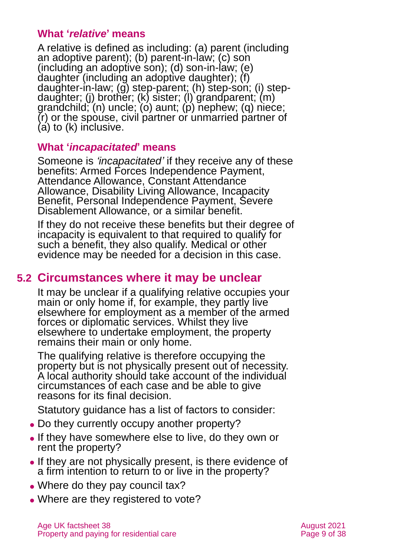#### **What '***relative***' means**

A relative is defined as including: (a) parent (including an adoptive parent); (b) parent-in-law; (c) son (including an adoptive son); (d) son-in-law; (e) daughter (including an adoptive daughter); (f) daughter-in-law; (g) step-parent; (h) step-son; (i) stepdaughter; (j) brother; (k) sister; (l) grandparent; (m) grandchild; (n) uncle; (o) aunt; (p) nephew; (q) niece; (r) or the spouse, civil partner or unmarried partner of (a) to (k) inclusive.

#### **What '***incapacitated***' means**

Someone is *'incapacitated'* if they receive any of these benefits: Armed Forces Independence Payment, Attendance Allowance, Constant Attendance Allowance, Disability Living Allowance, Incapacity Benefit, Personal Independence Payment, Severe Disablement Allowance, or a similar benefit.

If they do not receive these benefits but their degree of incapacity is equivalent to that required to qualify for such a benefit, they also qualify. Medical or other evidence may be needed for a decision in this case.

### <span id="page-8-0"></span>**5.2 Circumstances where it may be unclear**

It may be unclear if a qualifying relative occupies your main or only home if, for example, they partly live elsewhere for employment as a member of the armed forces or diplomatic services. Whilst they live elsewhere to undertake employment, the property remains their main or only home.

The qualifying relative is therefore occupying the property but is not physically present out of necessity. A local authority should take account of the individual circumstances of each case and be able to give reasons for its final decision.

Statutory guidance has a list of factors to consider:

- Do they currently occupy another property?
- ⚫ If they have somewhere else to live, do they own or rent the property?
- ⚫ If they are not physically present, is there evidence of a firm intention to return to or live in the property?
- Where do they pay council tax?
- Where are they registered to vote?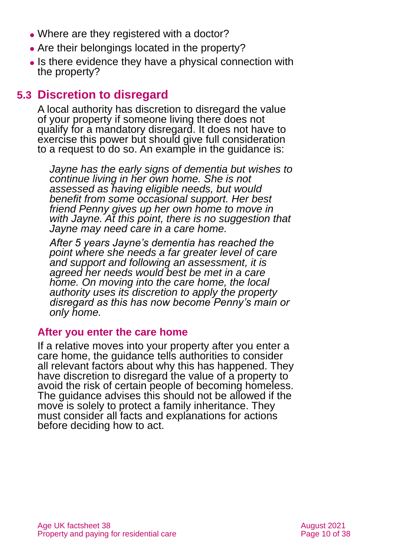- Where are they registered with a doctor?
- ⚫ Are their belongings located in the property?
- ⚫ Is there evidence they have a physical connection with the property?

### **5.3 Discretion to disregard**

A local authority has discretion to disregard the value of your property if someone living there does not qualify for a mandatory disregard. It does not have to exercise this power but should give full consideration to a request to do so. An example in the guidance is:

*Jayne has the early signs of dementia but wishes to continue living in her own home. She is not assessed as having eligible needs, but would benefit from some occasional support. Her best friend Penny gives up her own home to move in with Jayne. At this point, there is no suggestion that Jayne may need care in a care home.* 

*After 5 years Jayne's dementia has reached the point where she needs a far greater level of care and support and following an assessment, it is agreed her needs would best be met in a care home. On moving into the care home, the local authority uses its discretion to apply the property disregard as this has now become Penny's main or only home.*

#### **After you enter the care home**

If a relative moves into your property after you enter a care home, the guidance tells authorities to consider all relevant factors about why this has happened. They have discretion to disregard the value of a property to avoid the risk of certain people of becoming homeless. The guidance advises this should not be allowed if the move is solely to protect a family inheritance. They must consider all facts and explanations for actions before deciding how to act.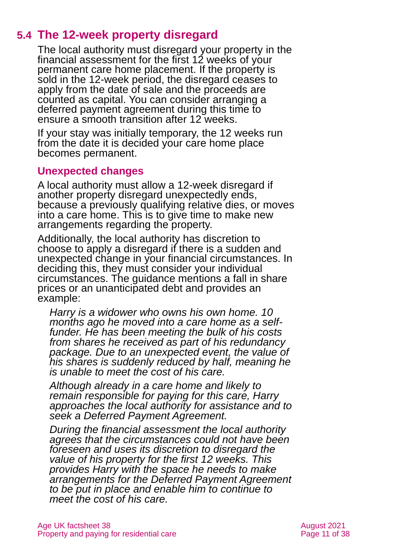# **5.4 The 12-week property disregard**

<span id="page-10-0"></span>The local authority must disregard your property in the financial assessment for the first 12 weeks of your permanent care home placement. If the property is sold in the 12-week period, the disregard ceases to apply from the date of sale and the proceeds are counted as capital. You can consider arranging a deferred payment agreement during this time to ensure a smooth transition after 12 weeks.

If your stay was initially temporary, the 12 weeks run from the date it is decided your care home place becomes permanent.

#### **Unexpected changes**

A local authority must allow a 12-week disregard if another property disregard unexpectedly ends, because a previously qualifying relative dies, or moves into a care home. This is to give time to make new arrangements regarding the property.

Additionally, the local authority has discretion to choose to apply a disregard if there is a sudden and unexpected change in your financial circumstances. In deciding this, they must consider your individual circumstances. The guidance mentions a fall in share prices or an unanticipated debt and provides an example:

*Harry is a widower who owns his own home. 10 months ago he moved into a care home as a selffunder. He has been meeting the bulk of his costs from shares he received as part of his redundancy package. Due to an unexpected event, the value of his shares is suddenly reduced by half, meaning he is unable to meet the cost of his care.* 

*Although already in a care home and likely to remain responsible for paying for this care, Harry approaches the local authority for assistance and to seek a Deferred Payment Agreement.* 

*During the financial assessment the local authority agrees that the circumstances could not have been foreseen and uses its discretion to disregard the value of his property for the first 12 weeks. This provides Harry with the space he needs to make arrangements for the Deferred Payment Agreement to be put in place and enable him to continue to meet the cost of his care.*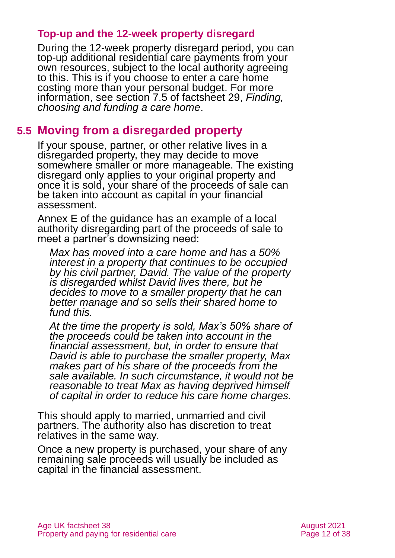#### **Top-up and the 12-week property disregard**

During the 12-week property disregard period, you can top-up additional residential care payments from your own resources, subject to the local authority agreeing to this. This is if you choose to enter a care home costing more than your personal budget. For more information, see section 7.5 of factsheet 29, *[Finding,](https://www.ageuk.org.uk/globalassets/age-uk/documents/factsheets/fs29_finding_choosing_and_funding_a_care_home_fcs.pdf)  [choosing and funding a care home](https://www.ageuk.org.uk/globalassets/age-uk/documents/factsheets/fs29_finding_choosing_and_funding_a_care_home_fcs.pdf)*.

### **5.5 Moving from a disregarded property**

If your spouse, partner, or other relative lives in a disregarded property, they may decide to move somewhere smaller or more manageable. The existing disregard only applies to your original property and once it is sold, your share of the proceeds of sale can be taken into account as capital in your financial assessment.

Annex E of the guidance has an example of a local authority disregarding part of the proceeds of sale to meet a partner's downsizing need:

*Max has moved into a care home and has a 50% interest in a property that continues to be occupied by his civil partner, David. The value of the property is disregarded whilst David lives there, but he decides to move to a smaller property that he can better manage and so sells their shared home to fund this.* 

*At the time the property is sold, Max's 50% share of the proceeds could be taken into account in the financial assessment, but, in order to ensure that David is able to purchase the smaller property, Max makes part of his share of the proceeds from the sale available. In such circumstance, it would not be reasonable to treat Max as having deprived himself of capital in order to reduce his care home charges.* 

This should apply to married, unmarried and civil partners. The authority also has discretion to treat relatives in the same way.

Once a new property is purchased, your share of any remaining sale proceeds will usually be included as capital in the financial assessment.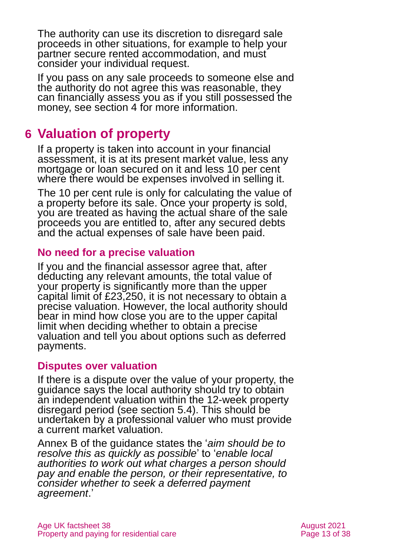The authority can use its discretion to disregard sale proceeds in other situations, for example to help your partner secure rented accommodation, and must consider your individual request.

If you pass on any sale proceeds to someone else and the authority do not agree this was reasonable, they can financially assess you as if you still possessed the money, [see section 4](#page-7-0) for more information.

# <span id="page-12-0"></span>**6 Valuation of property**

If a property is taken into account in your financial assessment, it is at its present market value, less any mortgage or loan secured on it and less 10 per cent where there would be expenses involved in selling it.

The 10 per cent rule is only for calculating the value of a property before its sale. Once your property is sold, you are treated as having the actual share of the sale proceeds you are entitled to, after any secured debts and the actual expenses of sale have been paid.

#### **No need for a precise valuation**

If you and the financial assessor agree that, after deducting any relevant amounts, the total value of your property is significantly more than the upper capital limit of £23,250, it is not necessary to obtain a precise valuation. However, the local authority should bear in mind how close you are to the upper capital limit when deciding whether to obtain a precise valuation and tell you about options such as deferred payments.

#### **Disputes over valuation**

If there is a dispute over the value of your property, the guidance says the local authority should try to obtain an independent valuation within the 12-week property disregard period (see [section 5.4\)](#page-10-0). This should be undertaken by a professional valuer who must provide a current market valuation.

Annex B of the guidance states the '*aim should be to resolve this as quickly as possible*' to '*enable local authorities to work out what charges a person should pay and enable the person, or their representative, to consider whether to seek a deferred payment agreement*.'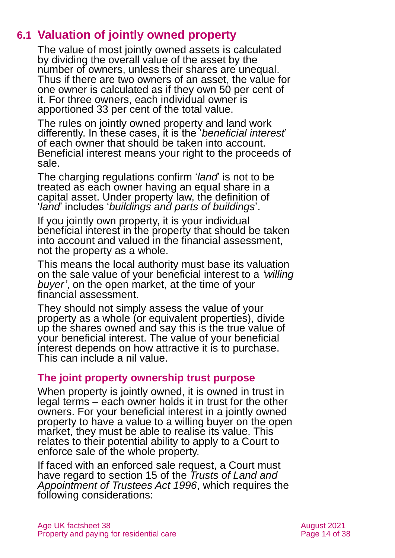# **6.1 Valuation of jointly owned property**

<span id="page-13-0"></span>The value of most jointly owned assets is calculated by dividing the overall value of the asset by the number of owners, unless their shares are unequal. Thus if there are two owners of an asset, the value for one owner is calculated as if they own 50 per cent of it. For three owners, each individual owner is apportioned 33 per cent of the total value.

The rules on jointly owned property and land work differently. In these cases, it is the '*beneficial interest*' of each owner that should be taken into account. Beneficial interest means your right to the proceeds of sale.

The charging regulations confirm '*land*' is not to be treated as each owner having an equal share in a capital asset. Under property law, the definition of '*land*' includes '*buildings and parts of buildings*'.

If you jointly own property, it is your individual beneficial interest in the property that should be taken into account and valued in the financial assessment, not the property as a whole.

This means the local authority must base its valuation on the sale value of your beneficial interest to a *'willing buyer'*, on the open market, at the time of your financial assessment.

They should not simply assess the value of your property as a whole (or equivalent properties), divide up the shares owned and say this is the true value of your beneficial interest. The value of your beneficial interest depends on how attractive it is to purchase. This can include a nil value.

#### **The joint property ownership trust purpose**

When property is jointly owned, it is owned in trust in legal terms – each owner holds it in trust for the other owners. For your beneficial interest in a jointly owned property to have a value to a willing buyer on the open market, they must be able to realise its value. This relates to their potential ability to apply to a Court to enforce sale of the whole property.

If faced with an enforced sale request, a Court must have regard to section 15 of the *[Trusts of Land and](https://www.legislation.gov.uk/ukpga/1996/47/contents)  [Appointment of Trustees Act 1996](https://www.legislation.gov.uk/ukpga/1996/47/contents)*, which requires the following considerations: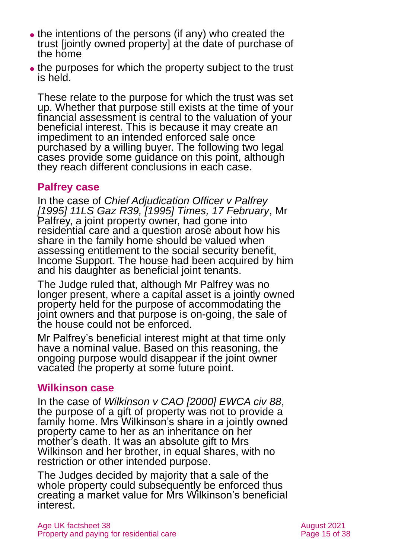- the intentions of the persons (if any) who created the trust [jointly owned property] at the date of purchase of the home
- the purposes for which the property subject to the trust is held

These relate to the purpose for which the trust was set up. Whether that purpose still exists at the time of your financial assessment is central to the valuation of your beneficial interest. This is because it may create an impediment to an intended enforced sale once purchased by a willing buyer. The following two legal cases provide some guidance on this point, although they reach different conclusions in each case.

#### **Palfrey case**

In the case of *[Chief Adjudication Officer v Palfrey](https://www.bailii.org/uk/cases/UKSSCSC/1995/CIS_391_1992.html) [\[1995\] 11LS Gaz R39, \[1995\]](https://www.bailii.org/uk/cases/UKSSCSC/1995/CIS_391_1992.html) Times, 17 February*, Mr Palfrey, a joint property owner, had gone into residential care and a question arose about how his share in the family home should be valued when assessing entitlement to the social security benefit, Income Support. The house had been acquired by him and his daughter as beneficial joint tenants.

The Judge ruled that, although Mr Palfrey was no longer present, where a capital asset is a jointly owned property held for the purpose of accommodating the joint owners and that purpose is on-going, the sale of the house could not be enforced.

Mr Palfrey's beneficial interest might at that time only have a nominal value. Based on this reasoning, the ongoing purpose would disappear if the joint owner vacated the property at some future point.

#### **Wilkinson case**

In the case of *Wilkinson v CAO [\[2000\] EWCA civ 88](http://www.bailii.org/ew/cases/EWCA/Civ/2000/88.html)*, the purpose of a gift of property was not to provide a family home. Mrs Wilkinson's share in a jointly owned property came to her as an inheritance on her mother's death. It was an absolute gift to Mrs Wilkinson and her brother, in equal shares, with no restriction or other intended purpose.

The Judges decided by majority that a sale of the whole property could subsequently be enforced thus creating a market value for Mrs Wilkinson's beneficial interest.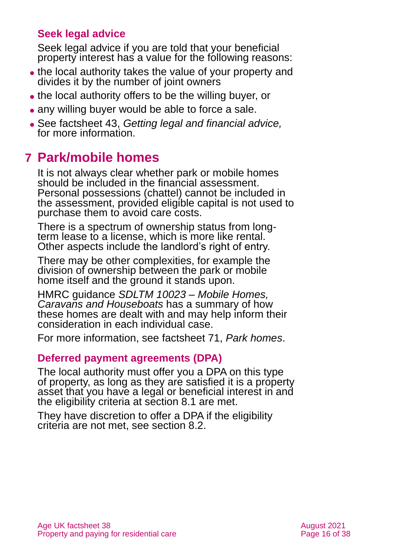#### **Seek legal advice**

Seek legal advice if you are told that your beneficial property interest has a value for the following reasons:

- the local authority takes the value of your property and divides it by the number of joint owners
- ⚫ the local authority offers to be the willing buyer, or
- any willing buyer would be able to force a sale.
- ⚫ See factsheet 43, *[Getting legal and financial advice,](https://www.ageuk.org.uk/globalassets/age-uk/documents/factsheets/fs43-getting-legal-and-financial-advice.pdf)* for more information.

# <span id="page-15-0"></span>**7 Park/mobile homes**

It is not always clear whether park or mobile homes should be included in the financial assessment. Personal possessions (chattel) cannot be included in the assessment, provided eligible capital is not used to purchase them to avoid care costs.

There is a spectrum of ownership status from longterm lease to a license, which is more like rental. Other aspects include the landlord's right of entry.

There may be other complexities, for example the division of ownership between the park or mobile home itself and the ground it stands upon.

HMRC guidance *[SDLTM 10023 –](http://www.hmrc.gov.uk/manuals/sdltmanual/sdltm10023.htm) Mobile Homes, [Caravans and Houseboats](http://www.hmrc.gov.uk/manuals/sdltmanual/sdltm10023.htm)* has a summary of how these homes are dealt with and may help inform their consideration in each individual case.

For more information, see factsheet 71, *[Park homes](https://www.ageuk.org.uk/globalassets/age-uk/documents/factsheets/fs71_park_homes_fcs.pdf)*.

#### **Deferred payment agreements (DPA)**

The local authority must offer you a DPA on this type of property, as long as they are satisfied it is a property asset that you have a legal or beneficial interest in and the eligibility criteria at section 8.1 are met.

They have discretion to offer a DPA if the eligibility criteria are not met, see [section 8.2.](#page-18-0)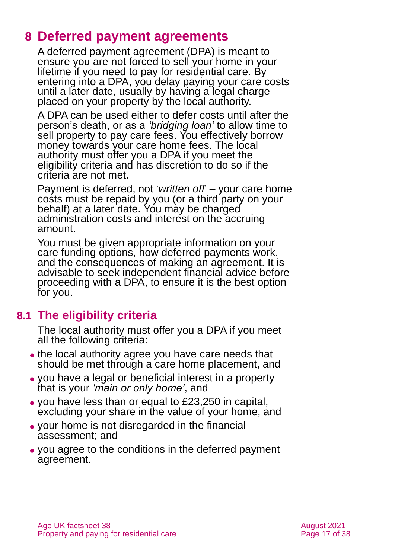# <span id="page-16-0"></span>**8 Deferred payment agreements**

A deferred payment agreement (DPA) is meant to ensure you are not forced to sell your home in your lifetime if you need to pay for residential care. By entering into a DPA, you delay paying your care costs until a later date, usually by having a legal charge placed on your property by the local authority.

A DPA can be used either to defer costs until after the person's death, or as a *'bridging loan'* to allow time to sell property to pay care fees. You effectively borrow money towards your care home fees. The local authority must offer you a DPA if you meet the eligibility criteria and has discretion to do so if the criteria are not met.

Payment is deferred, not '*written off*' – your care home costs must be repaid by you (or a third party on your behalf) at a later date. You may be charged administration costs and interest on the accruing amount.

You must be given appropriate information on your care funding options, how deferred payments work, and the consequences of making an agreement. It is advisable to seek independent financial advice before proceeding with a DPA, to ensure it is the best option for you.

# **8.1 The eligibility criteria**

The local authority must offer you a DPA if you meet all the following criteria:

- ⚫ the local authority agree you have care needs that should be met through a care home placement, and
- ⚫ you have a legal or beneficial interest in a property that is your *'main or only home'*, and
- ⚫ you have less than or equal to £23,250 in capital, excluding your share in the value of your home, and
- ⚫ your home is not disregarded in the financial assessment; and
- ⚫ you agree to the conditions in the deferred payment agreement.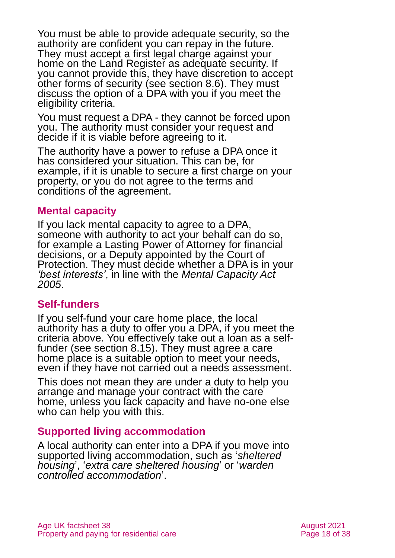You must be able to provide adequate security, so the authority are confident you can repay in the future. They must accept a first legal charge against your home on the Land Register as adequate security. If you cannot provide this, they have discretion to accept other forms of security (see [section 8.6\)](#page-21-0). They must discuss the option of a DPA with you if you meet the eligibility criteria.

You must request a DPA - they cannot be forced upon you. The authority must consider your request and decide if it is viable before agreeing to it.

The authority have a power to refuse a DPA once it has considered your situation. This can be, for example, if it is unable to secure a first charge on your property, or you do not agree to the terms and conditions of the agreement.

#### **Mental capacity**

If you lack mental capacity to agree to a DPA, someone with authority to act your behalf can do so, for example a Lasting Power of Attorney for financial decisions, or a Deputy appointed by the Court of Protection. They must decide whether a DPA is in your *'best interests'*, in line with the *[Mental Capacity Act](http://www.legislation.gov.uk/ukpga/2005/9/contents)  [2005](http://www.legislation.gov.uk/ukpga/2005/9/contents)*.

#### **Self-funders**

If you self-fund your care home place, the local authority has a duty to offer you a DPA, if you meet the criteria above. You effectively take out a loan as a selffunder (see [section 8.15\)](#page-30-1). They must agree a care home place is a suitable option to meet your needs, even if they have not carried out a needs assessment.

This does not mean they are under a duty to help you arrange and manage your contract with the care home, unless you lack capacity and have no-one else who can help you with this.

#### **Supported living accommodation**

A local authority can enter into a DPA if you move into supported living accommodation, such as '*sheltered housing*', '*extra care sheltered housing*' or '*warden controlled accommodation*'.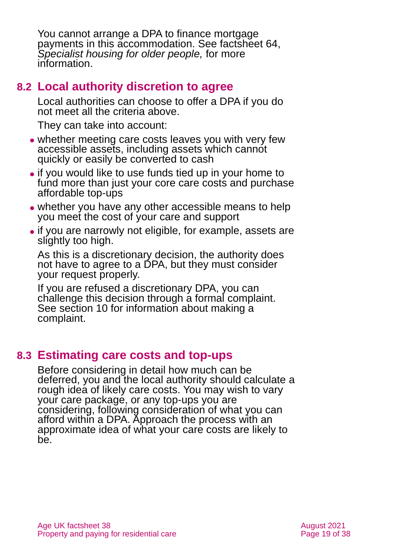You cannot arrange a DPA to finance mortgage payments in this accommodation. See factsheet 64, *[Specialist housing for older people,](https://www.ageuk.org.uk/globalassets/age-uk/documents/factsheets/fs64_specialist_housing_for_older_people_fcs.pdf)* for more information.

### <span id="page-18-0"></span>**8.2 Local authority discretion to agree**

Local authorities can choose to offer a DPA if you do not meet all the criteria above.

They can take into account:

- ⚫ whether meeting care costs leaves you with very few accessible assets, including assets which cannot quickly or easily be converted to cash
- ⚫ if you would like to use funds tied up in your home to fund more than just your core care costs and purchase affordable top-ups
- whether you have any other accessible means to help you meet the cost of your care and support
- ⚫ if you are narrowly not eligible, for example, assets are slightly too high.

As this is a discretionary decision, the authority does not have to agree to a DPA, but they must consider your request properly.

If you are refused a discretionary DPA, you can challenge this decision through a formal complaint. See [section 10](#page-32-0) for information about making a complaint.

# **8.3 Estimating care costs and top-ups**

Before considering in detail how much can be deferred, you and the local authority should calculate a rough idea of likely care costs. You may wish to vary your care package, or any top-ups you are considering, following consideration of what you can afford within a DPA. Approach the process with an approximate idea of what your care costs are likely to be.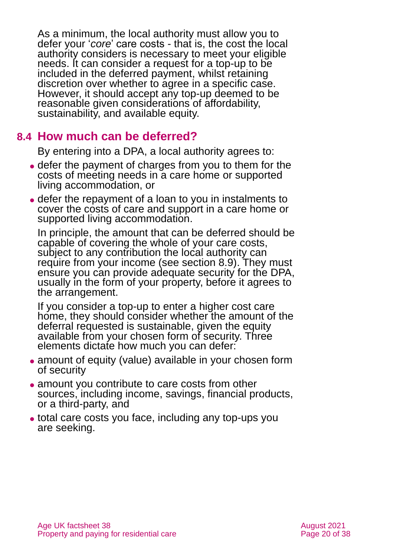As a minimum, the local authority must allow you to defer your '*core*' care costs - that is, the cost the local authority considers is necessary to meet your eligible needs. It can consider a request for a top-up to be included in the deferred payment, whilst retaining discretion over whether to agree in a specific case. However, it should accept any top-up deemed to be reasonable given considerations of affordability, sustainability, and available equity.

#### **8.4 How much can be deferred?**

By entering into a DPA, a local authority agrees to:

- ⚫ defer the payment of charges from you to them for the costs of meeting needs in a care home or supported living accommodation, or
- ⚫ defer the repayment of a loan to you in instalments to cover the costs of care and support in a care home or supported living accommodation.

In principle, the amount that can be deferred should be capable of covering the whole of your care costs, subject to any contribution the local authority can require from your income (see section 8.9). They must ensure you can provide adequate security for the DPA, usually in the form of your property, before it agrees to the arrangement.

If you consider a top-up to enter a higher cost care home, they should consider whether the amount of the deferral requested is sustainable, given the equity available from your chosen form of security. Three elements dictate how much you can defer:

- amount of equity (value) available in your chosen form of security
- ⚫ amount you contribute to care costs from other sources, including income, savings, financial products, or a third-party, and
- ⚫ total care costs you face, including any top-ups you are seeking.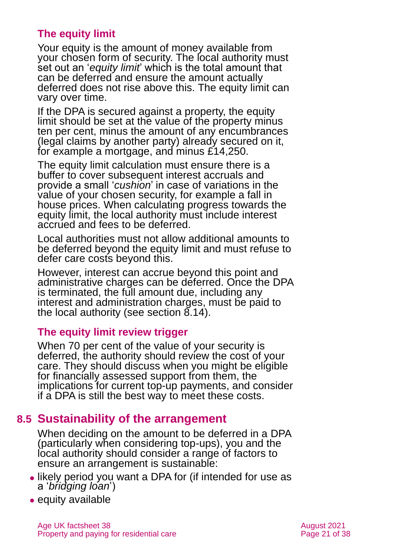#### **The equity limit**

Your equity is the amount of money available from your chosen form of security. The local authority must set out an '*equity limit*' which is the total amount that can be deferred and ensure the amount actually deferred does not rise above this. The equity limit can vary over time.

If the DPA is secured against a property, the equity limit should be set at the value of the property minus ten per cent, minus the amount of any encumbrances (legal claims by another party) already secured on it, for example a mortgage, and minus £14,250.

The equity limit calculation must ensure there is a buffer to cover subsequent interest accruals and provide a small '*cushion*' in case of variations in the value of your chosen security, for example a fall in house prices. When calculating progress towards the equity limit, the local authority must include interest accrued and fees to be deferred.

Local authorities must not allow additional amounts to be deferred beyond the equity limit and must refuse to defer care costs beyond this.

However, interest can accrue beyond this point and administrative charges can be deferred. Once the DPA is terminated, the full amount due, including any interest and administration charges, must be paid to the local authority (see [section 8.14\)](#page-28-0).

#### **The equity limit review trigger**

When 70 per cent of the value of your security is deferred, the authority should review the cost of your care. They should discuss when you might be eligible for financially assessed support from them, the implications for current top-up payments, and consider if a DPA is still the best way to meet these costs.

### **8.5 Sustainability of the arrangement**

When deciding on the amount to be deferred in a DPA (particularly when considering top-ups), you and the local authority should consider a range of factors to ensure an arrangement is sustainable:

- ⚫ likely period you want a DPA for (if intended for use as a '*bridging loan*')
- equity available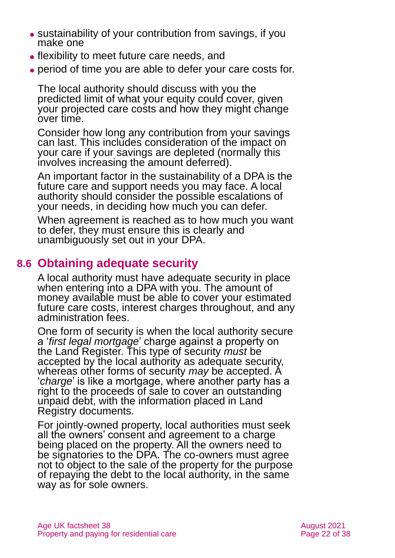- ⚫ sustainability of your contribution from savings, if you make one
- ⚫ flexibility to meet future care needs, and
- ⚫ period of time you are able to defer your care costs for.

The local authority should discuss with you the predicted limit of what your equity could cover, given your projected care costs and how they might change over time.

Consider how long any contribution from your savings can last. This includes consideration of the impact on your care if your savings are depleted (normally this involves increasing the amount deferred).

An important factor in the sustainability of a DPA is the future care and support needs you may face. A local authority should consider the possible escalations of your needs, in deciding how much you can defer.

When agreement is reached as to how much you want to defer, they must ensure this is clearly and unambiguously set out in your DPA.

## <span id="page-21-0"></span>**8.6 Obtaining adequate security**

A local authority must have adequate security in place when entering into a DPA with you. The amount of money available must be able to cover your estimated future care costs, interest charges throughout, and any administration fees.

One form of security is when the local authority secure a '*first legal mortgage*' charge against a property on the Land Register. This type of security *must* be accepted by the local authority as adequate security, whereas other forms of security *may* be accepted. A '*charge*' is like a mortgage, where another party has a right to the proceeds of sale to cover an outstanding unpaid debt, with the information placed in Land Registry documents.

For jointly-owned property, local authorities must seek all the owners' consent and agreement to a charge being placed on the property. All the owners need to be signatories to the DPA. The co-owners must agree not to object to the sale of the property for the purpose of repaying the debt to the local authority, in the same way as for sole owners.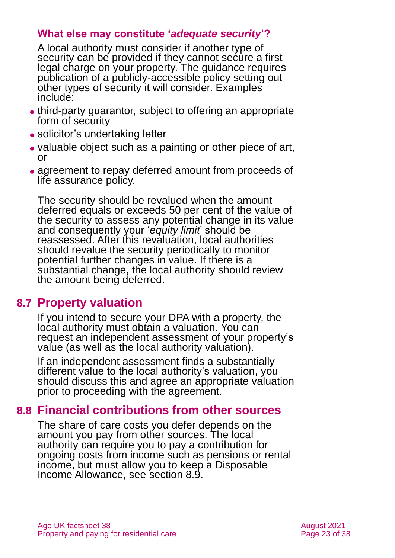#### **What else may constitute '***adequate security***'?**

A local authority must consider if another type of security can be provided if they cannot secure a first legal charge on your property. The guidance requires publication of a publicly-accessible policy setting out other types of security it will consider. Examples include:

- ⚫ third-party guarantor, subject to offering an appropriate form of security
- solicitor's undertaking letter
- ⚫ valuable object such as a painting or other piece of art, or
- agreement to repay deferred amount from proceeds of life assurance policy.

The security should be revalued when the amount deferred equals or exceeds 50 per cent of the value of the security to assess any potential change in its value and consequently your '*equity limit*' should be reassessed. After this revaluation, local authorities should revalue the security periodically to monitor potential further changes in value. If there is a substantial change, the local authority should review the amount being deferred.

### **8.7 Property valuation**

If you intend to secure your DPA with a property, the local authority must obtain a valuation. You can request an independent assessment of your property's value (as well as the local authority valuation).

If an independent assessment finds a substantially different value to the local authority's valuation, you should discuss this and agree an appropriate valuation prior to proceeding with the agreement.

### **8.8 Financial contributions from other sources**

The share of care costs you defer depends on the amount you pay from other sources. The local authority can require you to pay a contribution for ongoing costs from income such as pensions or rental income, but must allow you to keep a Disposable Income Allowance, see [section 8.9.](#page-23-0)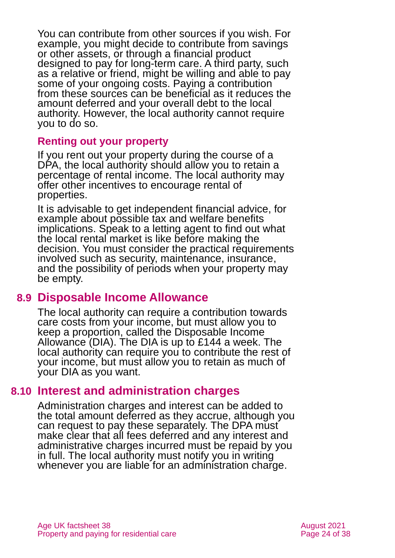You can contribute from other sources if you wish. For example, you might decide to contribute from savings or other assets, or through a financial product designed to pay for long-term care. A third party, such as a relative or friend, might be willing and able to pay some of your ongoing costs. Paying a contribution from these sources can be beneficial as it reduces the amount deferred and your overall debt to the local authority. However, the local authority cannot require you to do so.

#### **Renting out your property**

If you rent out your property during the course of a DPA, the local authority should allow you to retain a percentage of rental income. The local authority may offer other incentives to encourage rental of properties.

It is advisable to get independent financial advice, for example about possible tax and welfare benefits implications. Speak to a letting agent to find out what the local rental market is like before making the decision. You must consider the practical requirements involved such as security, maintenance, insurance, and the possibility of periods when your property may be empty.

#### <span id="page-23-0"></span>**8.9 Disposable Income Allowance**

The local authority can require a contribution towards care costs from your income, but must allow you to keep a proportion, called the Disposable Income Allowance (DIA). The DIA is up to £144 a week. The local authority can require you to contribute the rest of your income, but must allow you to retain as much of your DIA as you want.

#### **8.10 Interest and administration charges**

Administration charges and interest can be added to the total amount deferred as they accrue, although you can request to pay these separately. The DPA must make clear that all fees deferred and any interest and administrative charges incurred must be repaid by you in full. The local authority must notify you in writing whenever you are liable for an administration charge.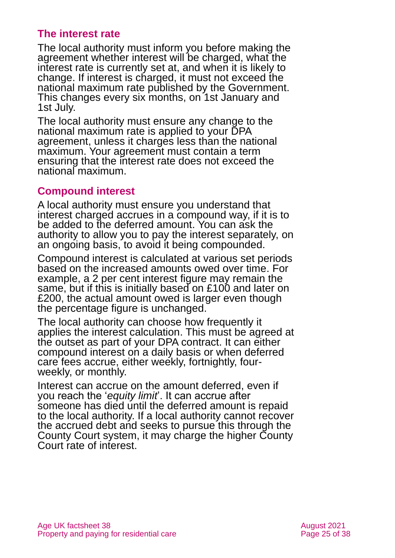#### **The interest rate**

The local authority must inform you before making the agreement whether interest will be charged, what the interest rate is currently set at, and when it is likely to change. If interest is charged, it must not exceed the national maximum rate published by the Government. This changes every six months, on 1st January and 1st July.

The local authority must ensure any change to the national maximum rate is applied to your DPA agreement, unless it charges less than the national maximum. Your agreement must contain a term ensuring that the interest rate does not exceed the national maximum.

#### **Compound interest**

A local authority must ensure you understand that interest charged accrues in a compound way, if it is to be added to the deferred amount. You can ask the authority to allow you to pay the interest separately, on an ongoing basis, to avoid it being compounded.

Compound interest is calculated at various set periods based on the increased amounts owed over time. For example, a 2 per cent interest figure may remain the same, but if this is initially based on £100 and later on £200, the actual amount owed is larger even though the percentage figure is unchanged.

The local authority can choose how frequently it applies the interest calculation. This must be agreed at the outset as part of your DPA contract. It can either compound interest on a daily basis or when deferred care fees accrue, either weekly, fortnightly, fourweekly, or monthly.

Interest can accrue on the amount deferred, even if you reach the '*equity limit*'. It can accrue after someone has died until the deferred amount is repaid to the local authority. If a local authority cannot recover the accrued debt and seeks to pursue this through the County Court system, it may charge the higher County Court rate of interest.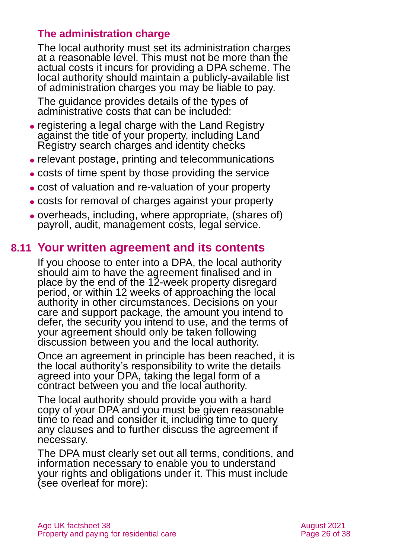#### **The administration charge**

The local authority must set its administration charges at a reasonable level. This must not be more than the actual costs it incurs for providing a DPA scheme. The local authority should maintain a publicly-available list of administration charges you may be liable to pay.

The guidance provides details of the types of administrative costs that can be included:

- ⚫ registering a legal charge with the Land Registry against the title of your property, including Land Registry search charges and identity checks
- ⚫ relevant postage, printing and telecommunications
- ⚫ costs of time spent by those providing the service
- ⚫ cost of valuation and re-valuation of your property
- ⚫ costs for removal of charges against your property
- ⚫ overheads, including, where appropriate, (shares of) payroll, audit, management costs, legal service.

#### **8.11 Your written agreement and its contents**

If you choose to enter into a DPA, the local authority should aim to have the agreement finalised and in place by the end of the 12-week property disregard period, or within 12 weeks of approaching the local authority in other circumstances. Decisions on your care and support package, the amount you intend to defer, the security you intend to use, and the terms of your agreement should only be taken following discussion between you and the local authority.

Once an agreement in principle has been reached, it is the local authority's responsibility to write the details agreed into your DPA, taking the legal form of a contract between you and the local authority.

The local authority should provide you with a hard copy of your DPA and you must be given reasonable time to read and consider it, including time to query any clauses and to further discuss the agreement if necessary.

The DPA must clearly set out all terms, conditions, and information necessary to enable you to understand your rights and obligations under it. This must include (see overleaf for more):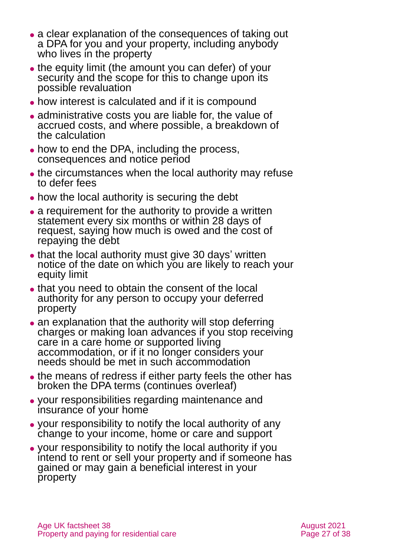- a clear explanation of the consequences of taking out a DPA for you and your property, including anybody who lives in the property
- the equity limit (the amount you can defer) of your security and the scope for this to change upon its possible revaluation
- ⚫ how interest is calculated and if it is compound
- ⚫ administrative costs you are liable for, the value of accrued costs, and where possible, a breakdown of the calculation
- ⚫ how to end the DPA, including the process, consequences and notice period
- the circumstances when the local authority may refuse to defer fees
- how the local authority is securing the debt
- ⚫ a requirement for the authority to provide a written statement every six months or within 28 days of request, saying how much is owed and the cost of repaying the debt
- that the local authority must give 30 days' written notice of the date on which you are likely to reach your equity limit
- ⚫ that you need to obtain the consent of the local authority for any person to occupy your deferred property
- an explanation that the authority will stop deferring charges or making loan advances if you stop receiving care in a care home or supported living accommodation, or if it no longer considers your needs should be met in such accommodation
- ⚫ the means of redress if either party feels the other has broken the DPA terms (continues overleaf)
- ⚫ your responsibilities regarding maintenance and insurance of your home
- ⚫ your responsibility to notify the local authority of any change to your income, home or care and support
- ⚫ your responsibility to notify the local authority if you intend to rent or sell your property and if someone has gained or may gain a beneficial interest in your property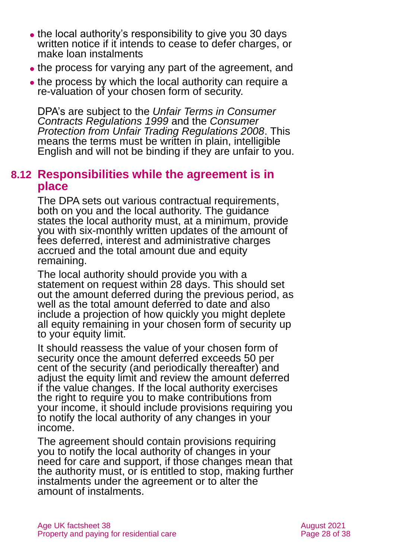- the local authority's responsibility to give you 30 days written notice if it intends to cease to defer charges, or make loan instalments
- the process for varying any part of the agreement, and
- the process by which the local authority can require a re-valuation of your chosen form of security.

DPA's are subject to the *[Unfair Terms in Consumer](http://www.legislation.gov.uk/uksi/1999/2083/contents/made)  [Contracts Regulations 1999](http://www.legislation.gov.uk/uksi/1999/2083/contents/made)* and the *[Consumer](http://www.legislation.gov.uk/uksi/2008/1277/contents)  [Protection from Unfair Trading Regulations 2008](http://www.legislation.gov.uk/uksi/2008/1277/contents)*. This means the terms must be written in plain, intelligible English and will not be binding if they are unfair to you.

#### **8.12 Responsibilities while the agreement is in place**

The DPA sets out various contractual requirements, both on you and the local authority. The guidance states the local authority must, at a minimum, provide you with six-monthly written updates of the amount of fees deferred, interest and administrative charges accrued and the total amount due and equity remaining.

The local authority should provide you with a statement on request within 28 days. This should set out the amount deferred during the previous period, as well as the total amount deferred to date and also include a projection of how quickly you might deplete all equity remaining in your chosen form of security up to your equity limit.

It should reassess the value of your chosen form of security once the amount deferred exceeds 50 per cent of the security (and periodically thereafter) and adjust the equity limit and review the amount deferred if the value changes. If the local authority exercises the right to require you to make contributions from your income, it should include provisions requiring you to notify the local authority of any changes in your income.

The agreement should contain provisions requiring you to notify the local authority of changes in your need for care and support, if those changes mean that the authority must, or is entitled to stop, making further instalments under the agreement or to alter the amount of instalments.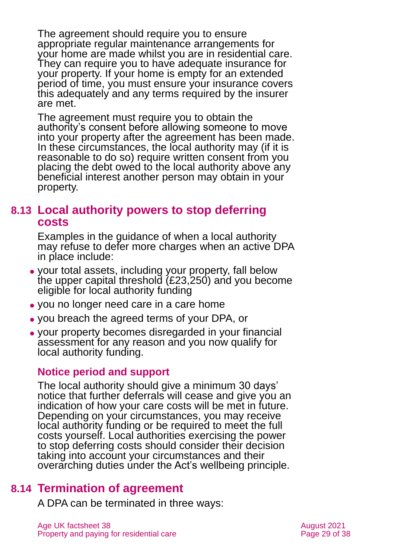The agreement should require you to ensure appropriate regular maintenance arrangements for your home are made whilst you are in residential care. They can require you to have adequate insurance for your property. If your home is empty for an extended period of time, you must ensure your insurance covers this adequately and any terms required by the insurer are met.

The agreement must require you to obtain the authority's consent before allowing someone to move into your property after the agreement has been made. In these circumstances, the local authority may (if it is reasonable to do so) require written consent from you placing the debt owed to the local authority above any beneficial interest another person may obtain in your property.

#### **8.13 Local authority powers to stop deferring costs**

Examples in the guidance of when a local authority may refuse to defer more charges when an active DPA in place include:

- ⚫ your total assets, including your property, fall below the upper capital threshold (£23,250) and you become eligible for local authority funding
- ⚫ you no longer need care in a care home
- ⚫ you breach the agreed terms of your DPA, or
- ⚫ your property becomes disregarded in your financial assessment for any reason and you now qualify for local authority funding.

#### **Notice period and support**

The local authority should give a minimum 30 days' notice that further deferrals will cease and give you an indication of how your care costs will be met in future. Depending on your circumstances, you may receive local authority funding or be required to meet the full costs yourself. Local authorities exercising the power to stop deferring costs should consider their decision taking into account your circumstances and their overarching duties under the Act's wellbeing principle.

### **8.14 Termination of agreement**

<span id="page-28-0"></span>A DPA can be terminated in three ways: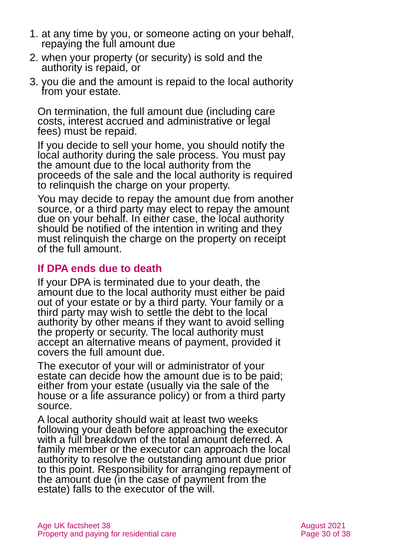- 1. at any time by you, or someone acting on your behalf, repaying the full amount due
- 2. when your property (or security) is sold and the authority is repaid, or
- 3. you die and the amount is repaid to the local authority from your estate.

On termination, the full amount due (including care costs, interest accrued and administrative or legal fees) must be repaid.

If you decide to sell your home, you should notify the local authority during the sale process. You must pay the amount due to the local authority from the proceeds of the sale and the local authority is required to relinquish the charge on your property.

You may decide to repay the amount due from another source, or a third party may elect to repay the amount due on your behalf. In either case, the local authority should be notified of the intention in writing and they must relinquish the charge on the property on receipt of the full amount.

#### **If DPA ends due to death**

If your DPA is terminated due to your death, the amount due to the local authority must either be paid out of your estate or by a third party. Your family or a third party may wish to settle the debt to the local authority by other means if they want to avoid selling the property or security. The local authority must accept an alternative means of payment, provided it covers the full amount due.

The executor of your will or administrator of your estate can decide how the amount due is to be paid; either from your estate (usually via the sale of the house or a life assurance policy) or from a third party source.

A local authority should wait at least two weeks following your death before approaching the executor with a full breakdown of the total amount deferred. A family member or the executor can approach the local authority to resolve the outstanding amount due prior to this point. Responsibility for arranging repayment of the amount due (in the case of payment from the estate) falls to the executor of the will.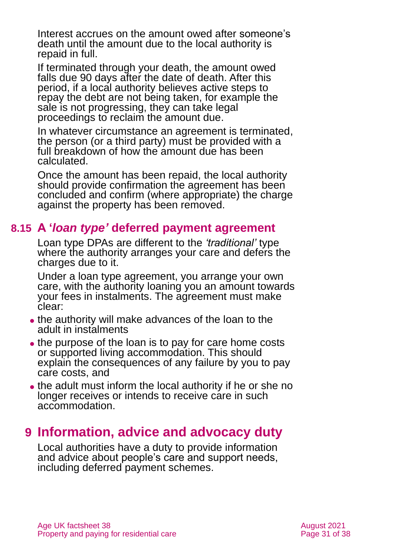Interest accrues on the amount owed after someone's death until the amount due to the local authority is repaid in full.

If terminated through your death, the amount owed falls due 90 days after the date of death. After this period, if a local authority believes active steps to repay the debt are not being taken, for example the sale is not progressing, they can take legal proceedings to reclaim the amount due.

In whatever circumstance an agreement is terminated, the person (or a third party) must be provided with a full breakdown of how the amount due has been calculated.

Once the amount has been repaid, the local authority should provide confirmation the agreement has been concluded and confirm (where appropriate) the charge against the property has been removed.

### **8.15 A '***loan type'* **deferred payment agreement**

<span id="page-30-1"></span>Loan type DPAs are different to the *'traditional'* type where the authority arranges your care and defers the charges due to it.

Under a loan type agreement, you arrange your own care, with the authority loaning you an amount towards your fees in instalments. The agreement must make clear:

- ⚫ the authority will make advances of the loan to the adult in instalments
- the purpose of the loan is to pay for care home costs or supported living accommodation. This should explain the consequences of any failure by you to pay care costs, and
- the adult must inform the local authority if he or she no longer receives or intends to receive care in such accommodation.

# <span id="page-30-0"></span>**9 Information, advice and advocacy duty**

Local authorities have a duty to provide information and advice about people's care and support needs, including deferred payment schemes.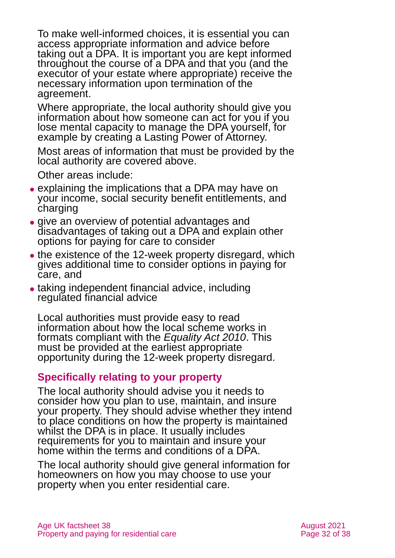To make well-informed choices, it is essential you can access appropriate information and advice before taking out a DPA. It is important you are kept informed throughout the course of a DPA and that you (and the executor of your estate where appropriate) receive the necessary information upon termination of the agreement.

Where appropriate, the local authority should give you information about how someone can act for you if you lose mental capacity to manage the DPA yourself, for example by creating a Lasting Power of Attorney.

Most areas of information that must be provided by the local authority are covered above.

Other areas include:

- ⚫ explaining the implications that a DPA may have on your income, social security benefit entitlements, and charging
- ⚫ give an overview of potential advantages and disadvantages of taking out a DPA and explain other options for paying for care to consider
- the existence of the 12-week property disregard, which gives additional time to consider options in paying for care, and
- ⚫ taking independent financial advice, including regulated financial advice

Local authorities must provide easy to read information about how the local scheme works in formats compliant with the *[Equality Act 2010](http://www.legislation.gov.uk/ukpga/2010/15/contents)*. This must be provided at the earliest appropriate opportunity during the 12-week property disregard.

#### **Specifically relating to your property**

The local authority should advise you it needs to consider how you plan to use, maintain, and insure your property. They should advise whether they intend to place conditions on how the property is maintained whilst the DPA is in place. It usually includes requirements for you to maintain and insure your home within the terms and conditions of a DPA.

The local authority should give general information for homeowners on how you may choose to use your property when you enter residential care.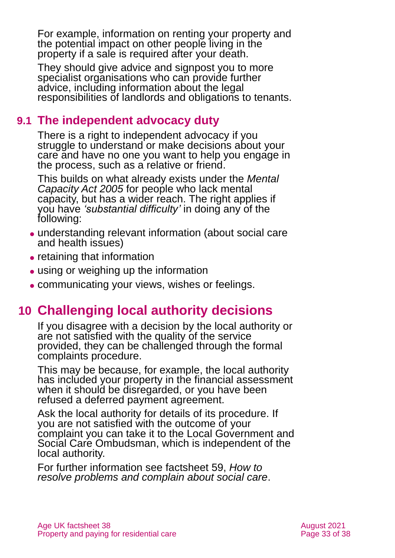For example, information on renting your property and the potential impact on other people living in the property if a sale is required after your death.

They should give advice and signpost you to more specialist organisations who can provide further advice, including information about the legal responsibilities of landlords and obligations to tenants.

# **9.1 The independent advocacy duty**

There is a right to independent advocacy if you struggle to understand or make decisions about your care and have no one you want to help you engage in the process, such as a relative or friend.

This builds on what already exists under the *[Mental](http://www.legislation.gov.uk/ukpga/2005/9/contents)  [Capacity Act 2005](http://www.legislation.gov.uk/ukpga/2005/9/contents)* for people who lack mental capacity, but has a wider reach. The right applies if you have *'substantial difficulty'* in doing any of the following:

- ⚫ understanding relevant information (about social care and health issues)
- retaining that information
- using or weighing up the information
- <span id="page-32-0"></span>⚫ communicating your views, wishes or feelings.

# **10 Challenging local authority decisions**

If you disagree with a decision by the local authority or are not satisfied with the quality of the service provided, they can be challenged through the formal complaints procedure.

This may be because, for example, the local authority has included your property in the financial assessment when it should be disregarded, or you have been refused a deferred payment agreement.

Ask the local authority for details of its procedure. If you are not satisfied with the outcome of your complaint you can take it to the [Local Government and](https://www.lgo.org.uk/)  [Social Care Ombudsman,](https://www.lgo.org.uk/) which is independent of the local authority.

For further information see factsheet 59, *[How to](https://www.ageuk.org.uk/globalassets/age-uk/documents/factsheets/fs59_how_to_resolve_problems_and_complain_about_social_care_fcs.pdf)  [resolve problems and complain about social care](https://www.ageuk.org.uk/globalassets/age-uk/documents/factsheets/fs59_how_to_resolve_problems_and_complain_about_social_care_fcs.pdf)*.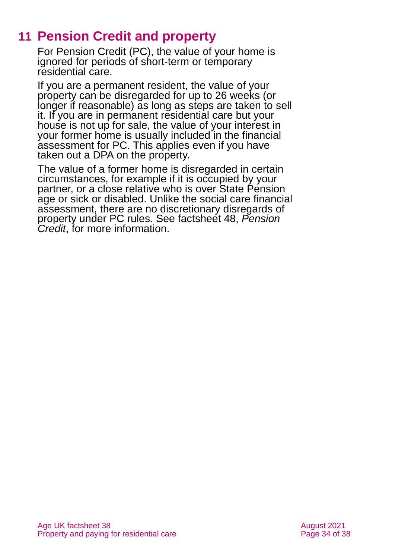# **11 Pension Credit and property**

<span id="page-33-0"></span>For Pension Credit (PC), the value of your home is ignored for periods of short-term or temporary residential care.

If you are a permanent resident, the value of your property can be disregarded for up to 26 weeks (or longer if reasonable) as long as steps are taken to sell it. If you are in permanent residential care but your house is not up for sale, the value of your interest in your former home is usually included in the financial assessment for PC. This applies even if you have taken out a DPA on the property.

The value of a former home is disregarded in certain circumstances, for example if it is occupied by your partner, or a close relative who is over State Pension age or sick or disabled. Unlike the social care financial assessment, there are no discretionary disregards of property under PC rules. See factsheet 48, *[Pension](https://www.ageuk.org.uk/globalassets/age-uk/documents/factsheets/fs48_pension_credit_fcs.pdf)  [Credit](https://www.ageuk.org.uk/globalassets/age-uk/documents/factsheets/fs48_pension_credit_fcs.pdf)*, for more information.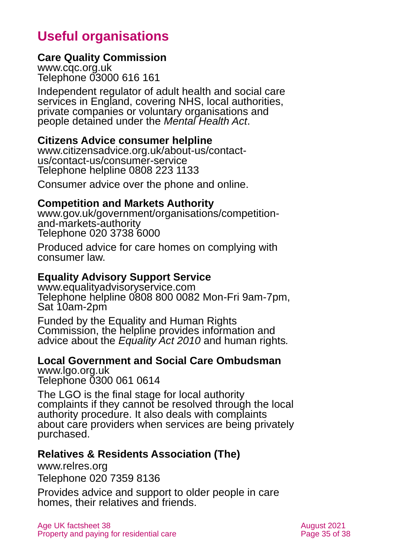# <span id="page-34-0"></span>**Useful organisations**

#### **Care Quality Commission**

[www.cqc.org.uk](http://www.cqc.org.uk/) Telephone 03000 616 161

Independent regulator of adult health and social care services in England, covering NHS, local authorities, private companies or voluntary organisations and people detained under the *Mental Health Act*.

#### **Citizens Advice consumer helpline**

[www.citizensadvice.org.uk/about-us/contact](http://www.citizensadvice.org.uk/about-us/contact-us/contact-us/consumer-service)[us/contact-us/consumer-service](http://www.citizensadvice.org.uk/about-us/contact-us/contact-us/consumer-service) Telephone helpline 0808 223 1133

Consumer advice over the phone and online.

#### **Competition and Markets Authority**

[www.gov.uk/government/organisations/competition](http://www.gov.uk/government/organisations/competition-and-markets-authority)[and-markets-authority](http://www.gov.uk/government/organisations/competition-and-markets-authority) Telephone 020 3738 6000

Produced advice for care homes on complying with consumer law.

#### **Equality Advisory Support Service**

[www.equalityadvisoryservice.com](http://www.equalityadvisoryservice.com/) Telephone helpline 0808 800 0082 Mon-Fri 9am-7pm, Sat 10am-2pm

Funded by the Equality and Human Rights Commission, the helpline provides information and advice about the *Equality Act 2010* and human rights*.*

#### **Local Government and Social Care Ombudsman** [www.lgo.org.uk](http://www.lgo.org.uk/)

Telephone 0300 061 0614

The LGO is the final stage for local authority complaints if they cannot be resolved through the local authority procedure. It also deals with complaints about care providers when services are being privately purchased.

#### **Relatives & Residents Association (The)**

[www.relres.org](http://www.relres.org/)

Telephone 020 7359 8136

Provides advice and support to older people in care homes, their relatives and friends.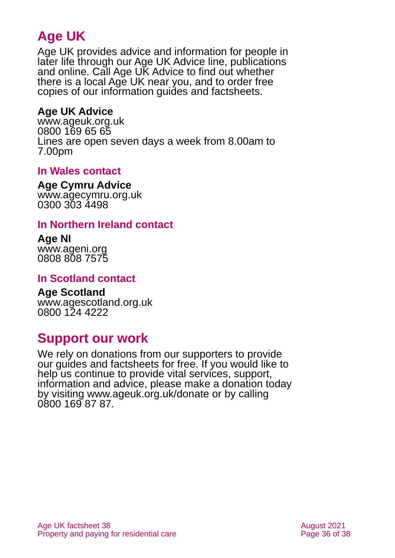# **Age UK**

Age UK provides advice and information for people in later life through our Age UK Advice line, publications and online. Call Age UK Advice to find out whether there is a local Age UK near you, and to order free copies of our information guides and factsheets.

#### <span id="page-35-3"></span>**Age UK Advice**

[www.ageuk.org.uk](http://www.ageuk.org.uk/) 0800 169 65 65 Lines are open seven days a week from 8.00am to 7.00pm

#### <span id="page-35-1"></span>**In Wales contact**

#### **Age Cymru Advice**

[www.agecymru.org.uk](http://www.agecymru.org.uk/) 0300 303 4498

#### <span id="page-35-2"></span>**In Northern Ireland contact**

#### **Age NI** [www.ageni.org](http://www.ageni.org/)

0808 808 7575

#### <span id="page-35-0"></span>**In Scotland contact**

# <span id="page-35-4"></span>**Age Scotland**

[www.agescotland.org.uk](http://www.agescotland.org.uk/) 0800 124 4222

# **Support our work**

We rely on donations from our supporters to provide our guides and factsheets for free. If you would like to help us continue to provide vital services, support, information and advice, please make a donation today by visiting [www.ageuk.org.uk/donate](http://www.ageuk.org.uk/donate) or by calling 0800 169 87 87.